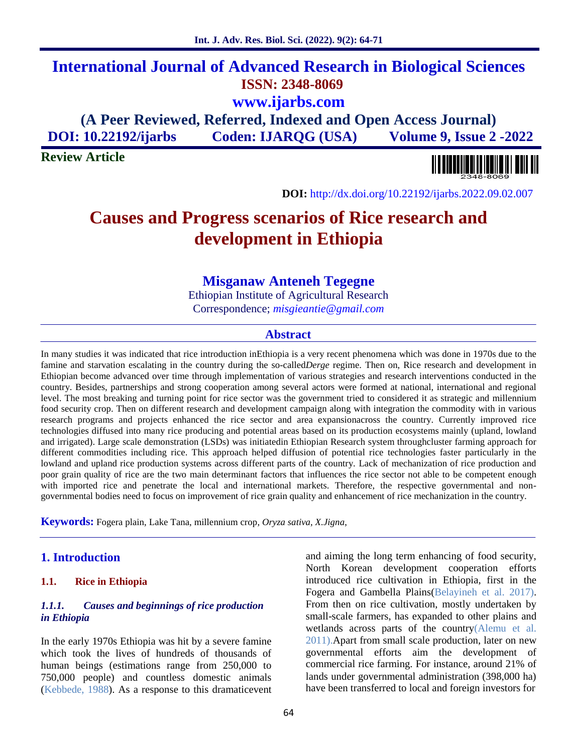## **International Journal of Advanced Research in Biological Sciences ISSN: 2348-8069 www.ijarbs.com (A Peer Reviewed, Referred, Indexed and Open Access Journal)**

**DOI: 10.22192/ijarbs Coden: IJARQG (USA) Volume 9, Issue 2 -2022**

**Review Article**



**DOI:** http://dx.doi.org/10.22192/ijarbs.2022.09.02.007

# **Causes and Progress scenarios of Rice research and development in Ethiopia**

## **Misganaw Anteneh Tegegne**

Ethiopian Institute of Agricultural Research Correspondence; *misgieantie@gmail.com*

#### **Abstract**

In many studies it was indicated that rice introduction inEthiopia is a very recent phenomena which was done in 1970s due to the famine and starvation escalating in the country during the so-called*Derge* regime. Then on, Rice research and development in Ethiopian become advanced over time through implementation of various strategies and research interventions conducted in the country. Besides, partnerships and strong cooperation among several actors were formed at national, international and regional level. The most breaking and turning point for rice sector was the government tried to considered it as strategic and millennium food security crop. Then on different research and development campaign along with integration the commodity with in various research programs and projects enhanced the rice sector and area expansionacross the country. Currently improved rice technologies diffused into many rice producing and potential areas based on its production ecosystems mainly (upland, lowland and irrigated). Large scale demonstration (LSDs) was initiatedin Ethiopian Research system throughcluster farming approach for different commodities including rice. This approach helped diffusion of potential rice technologies faster particularly in the lowland and upland rice production systems across different parts of the country. Lack of mechanization of rice production and poor grain quality of rice are the two main determinant factors that influences the rice sector not able to be competent enough with imported rice and penetrate the local and international markets. Therefore, the respective governmental and nongovernmental bodies need to focus on improvement of rice grain quality and enhancement of rice mechanization in the country.

**Keywords:** Fogera plain, Lake Tana, millennium crop, *Oryza sativa*, *X.Jigna*,

## **1. Introduction**

#### **1.1. Rice in Ethiopia**

#### *1.1.1. Causes and beginnings of rice production in Ethiopia*

In the early 1970s Ethiopia was hit by a severe famine which took the lives of hundreds of thousands of human beings (estimations range from 250,000 to 750,000 people) and countless domestic animals (Kebbede, 1988). As a response to this dramaticevent and aiming the long term enhancing of food security, North Korean development cooperation efforts introduced rice cultivation in Ethiopia, first in the Fogera and Gambella Plains(Belayineh et al. 2017). From then on rice cultivation, mostly undertaken by small-scale farmers, has expanded to other plains and wetlands across parts of the country(Alemu et al. 2011).Apart from small scale production, later on new governmental efforts aim the development of commercial rice farming. For instance, around 21% of lands under governmental administration (398,000 ha) have been transferred to local and foreign investors for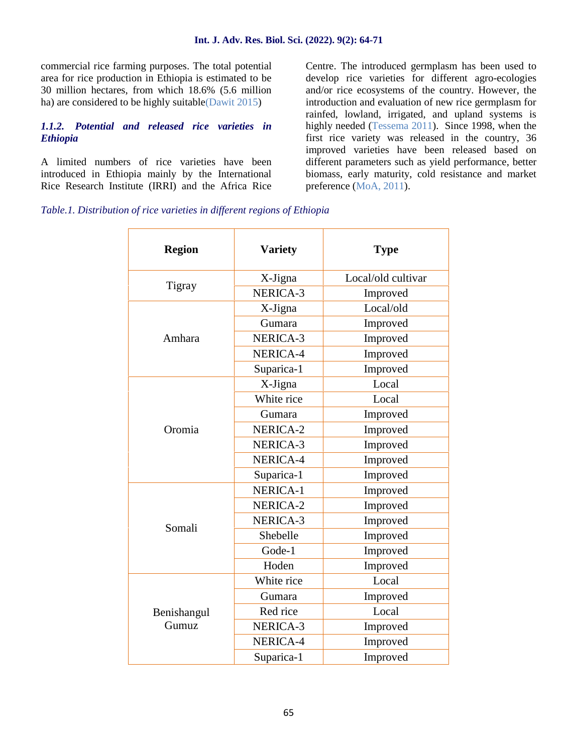commercial rice farming purposes. The total potential area for rice production in Ethiopia is estimated to be 30 million hectares, from which 18.6% (5.6 million ha) are considered to be highly suitable(Dawit 2015)

## *1.1.2. Potential and released rice varieties in Ethiopia*

A limited numbers of rice varieties have been introduced in Ethiopia mainly by the International Rice Research Institute (IRRI) and the Africa Rice Centre. The introduced germplasm has been used to develop rice varieties for different agro-ecologies and/or rice ecosystems of the country. However, the introduction and evaluation of new rice germplasm for rainfed, lowland, irrigated, and upland systems is highly needed (Tessema 2011). Since 1998, when the first rice variety was released in the country, 36 improved varieties have been released based on different parameters such as yield performance, better biomass, early maturity, cold resistance and market preference (MoA, 2011).

*Table.1. Distribution of rice varieties in different regions of Ethiopia*

| <b>Region</b>        | <b>Variety</b> | <b>Type</b>        |
|----------------------|----------------|--------------------|
|                      | X-Jigna        | Local/old cultivar |
| Tigray               | NERICA-3       | Improved           |
|                      | X-Jigna        | Local/old          |
|                      | Gumara         | Improved           |
| Amhara               | NERICA-3       | Improved           |
|                      | NERICA-4       | Improved           |
|                      | Suparica-1     | Improved           |
| Oromia               | X-Jigna        | Local              |
|                      | White rice     | Local              |
|                      | Gumara         | Improved           |
|                      | NERICA-2       | Improved           |
|                      | NERICA-3       | Improved           |
|                      | NERICA-4       | Improved           |
|                      | Suparica-1     | Improved           |
|                      | NERICA-1       | Improved           |
| Somali               | NERICA-2       | Improved           |
|                      | NERICA-3       | Improved           |
|                      | Shebelle       | Improved           |
|                      | Gode-1         | Improved           |
|                      | Hoden          | Improved           |
| Benishangul<br>Gumuz | White rice     | Local              |
|                      | Gumara         | Improved           |
|                      | Red rice       | Local              |
|                      | NERICA-3       | Improved           |
|                      | NERICA-4       | Improved           |
|                      | Suparica-1     | Improved           |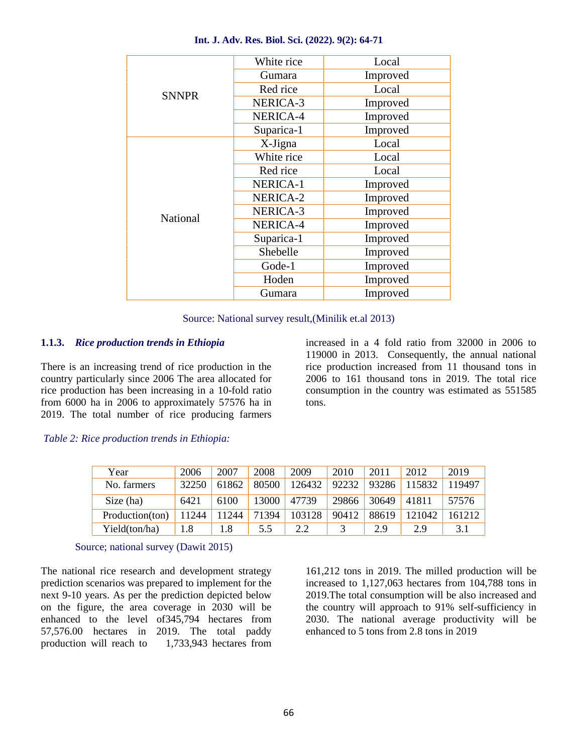| White rice | Local                                                                                                                                                                                       |  |  |
|------------|---------------------------------------------------------------------------------------------------------------------------------------------------------------------------------------------|--|--|
|            | Improved                                                                                                                                                                                    |  |  |
|            | Local                                                                                                                                                                                       |  |  |
|            | Improved                                                                                                                                                                                    |  |  |
|            | Improved                                                                                                                                                                                    |  |  |
|            | Improved                                                                                                                                                                                    |  |  |
|            | Local                                                                                                                                                                                       |  |  |
|            | Local                                                                                                                                                                                       |  |  |
|            | Local                                                                                                                                                                                       |  |  |
|            | Improved                                                                                                                                                                                    |  |  |
|            | Improved                                                                                                                                                                                    |  |  |
|            | Improved                                                                                                                                                                                    |  |  |
|            | Improved                                                                                                                                                                                    |  |  |
|            | Improved                                                                                                                                                                                    |  |  |
|            | Improved                                                                                                                                                                                    |  |  |
|            | Improved                                                                                                                                                                                    |  |  |
| Hoden      | Improved                                                                                                                                                                                    |  |  |
|            | Improved                                                                                                                                                                                    |  |  |
|            | Gumara<br>Red rice<br>NERICA-3<br>NERICA-4<br>Suparica-1<br>X-Jigna<br>White rice<br>Red rice<br>NERICA-1<br>NERICA-2<br>NERICA-3<br>NERICA-4<br>Suparica-1<br>Shebelle<br>Gode-1<br>Gumara |  |  |

#### **Int. J. Adv. Res. Biol. Sci. (2022). 9(2): 64-71**

Source: National survey result,(Minilik et.al 2013)

## **1.1.3.** *Rice production trends in Ethiopia*

There is an increasing trend of rice production in the country particularly since 2006 The area allocated for rice production has been increasing in a 10-fold ratio from 6000 ha in 2006 to approximately 57576 ha in 2019. The total number of rice producing farmers

increased in a 4 fold ratio from 32000 in 2006 to 119000 in 2013. Consequently, the annual national rice production increased from 11 thousand tons in 2006 to 161 thousand tons in 2019. The total rice consumption in the country was estimated as 551585 tons.

#### *Table 2: Rice production trends in Ethiopia:*

| Year            | 2006  | 2007  | 2008  | 2009   | 2010  | 2011  | 2012   | 2019   |
|-----------------|-------|-------|-------|--------|-------|-------|--------|--------|
| No. farmers     | 32250 | 61862 | 80500 | 126432 | 92232 | 93286 | 15832  | 119497 |
| Size (ha)       | 6421  | 6100  | 13000 | 47739  | 29866 | 30649 | 41811  | 57576  |
| Production(ton) | 11244 | 11244 | 71394 | 103128 | 90412 | 88619 | 121042 | 161212 |
| Yield(ton/ha)   | 1.8   | 1.8   | 5.5   | 2.2    |       | 2.9   | 2.9    | 3.1    |

Source; national survey (Dawit 2015)

The national rice research and development strategy prediction scenarios was prepared to implement for the next 9-10 years. As per the prediction depicted below on the figure, the area coverage in 2030 will be enhanced to the level of345,794 hectares from 57,576.00 hectares in 2019. The total paddy production will reach to 1,733,943 hectares from 161,212 tons in 2019. The milled production will be increased to 1,127,063 hectares from 104,788 tons in 2019.The total consumption will be also increased and the country will approach to 91% self-sufficiency in 2030. The national average productivity will be enhanced to 5 tons from 2.8 tons in 2019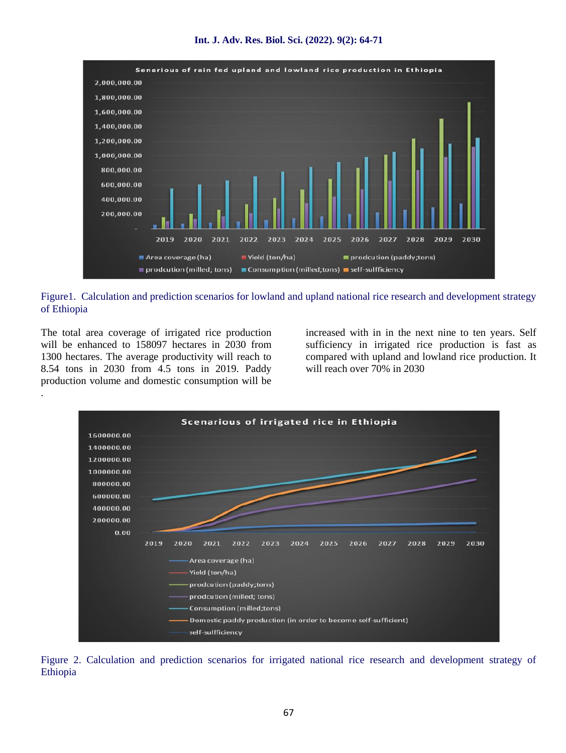



Figure1. Calculation and prediction scenarios for lowland and upland national rice research and development strategy of Ethiopia

The total area coverage of irrigated rice production will be enhanced to 158097 hectares in 2030 from 1300 hectares. The average productivity will reach to 8.54 tons in 2030 from 4.5 tons in 2019. Paddy production volume and domestic consumption will be

.

increased with in in the next nine to ten years. Self sufficiency in irrigated rice production is fast as compared with upland and lowland rice production. It will reach over 70% in 2030



Figure 2. Calculation and prediction scenarios for irrigated national rice research and development strategy of Ethiopia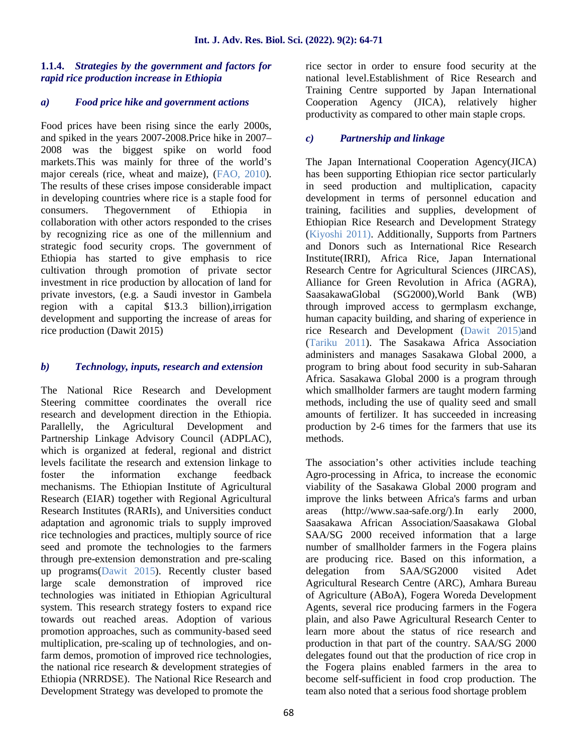## **1.1.4.** *Strategies by the government and factors for rapid rice production increase in Ethiopia*

## *a) Food price hike and government actions*

Food prices have been rising since the early 2000s, and spiked in the years 2007-2008.Price hike in 2007– 2008 was the biggest spike on world food markets.This was mainly for three of the world's major cereals (rice, wheat and maize), (FAO, 2010). The results of these crises impose considerable impact in developing countries where rice is a staple food for consumers. Thegovernment of Ethiopia in collaboration with other actors responded to the crises by recognizing rice as one of the millennium and strategic food security crops. The government of Ethiopia has started to give emphasis to rice cultivation through promotion of private sector investment in rice production by allocation of land for private investors, (e.g. a Saudi investor in Gambela region with a capital \$13.3 billion),irrigation development and supporting the increase of areas for rice production (Dawit 2015)

## *b) Technology, inputs, research and extension*

The National Rice Research and Development Steering committee coordinates the overall rice research and development direction in the Ethiopia. Parallelly, the Agricultural Development and Partnership Linkage Advisory Council (ADPLAC), which is organized at federal, regional and district levels facilitate the research and extension linkage to foster the information exchange feedback mechanisms. The Ethiopian Institute of Agricultural Research (EIAR) together with Regional Agricultural Research Institutes (RARIs), and Universities conduct adaptation and agronomic trials to supply improved rice technologies and practices, multiply source of rice seed and promote the technologies to the farmers through pre-extension demonstration and pre-scaling up programs(Dawit 2015). Recently cluster based large scale demonstration of improved rice technologies was initiated in Ethiopian Agricultural system. This research strategy fosters to expand rice towards out reached areas. Adoption of various promotion approaches, such as community-based seed multiplication, pre-scaling up of technologies, and onfarm demos, promotion of improved rice technologies, the national rice research & development strategies of Ethiopia (NRRDSE). The National Rice Research and Development Strategy was developed to promote the

rice sector in order to ensure food security at the national level.Establishment of Rice Research and Training Centre supported by Japan International Cooperation Agency (JICA), relatively higher productivity as compared to other main staple crops.

## *c) Partnership and linkage*

The Japan International Cooperation Agency(JICA) has been supporting Ethiopian rice sector particularly in seed production and multiplication, capacity development in terms of personnel education and training, facilities and supplies, development of Ethiopian Rice Research and Development Strategy (Kiyoshi 2011). Additionally, Supports from Partners and Donors such as International Rice Research Institute(IRRI), Africa Rice, Japan International Research Centre for Agricultural Sciences (JIRCAS), Alliance for Green Revolution in Africa (AGRA), SaasakawaGlobal (SG2000),World Bank (WB) through improved access to germplasm exchange, human capacity building, and sharing of experience in rice Research and Development (Dawit 2015)and (Tariku 2011). The Sasakawa Africa Association administers and manages Sasakawa Global 2000, a program to bring about food security in sub-Saharan Africa. Sasakawa Global 2000 is a program through which smallholder farmers are taught modern farming methods, including the use of quality seed and small amounts of fertilizer. It has succeeded in increasing production by 2-6 times for the farmers that use its methods.

The association's other activities include teaching Agro-processing in Africa, to increase the economic viability of the Sasakawa Global 2000 program and improve the links between Africa's farms and urban areas (http://www.saa-safe.org/).In early 2000, Saasakawa African Association/Saasakawa Global SAA/SG 2000 received information that a large number of smallholder farmers in the Fogera plains are producing rice. Based on this information, a delegation from SAA/SG2000 visited Adet Agricultural Research Centre (ARC), Amhara Bureau of Agriculture (ABoA), Fogera Woreda Development Agents, several rice producing farmers in the Fogera plain, and also Pawe Agricultural Research Center to learn more about the status of rice research and production in that part of the country. SAA/SG 2000 delegates found out that the production of rice crop in the Fogera plains enabled farmers in the area to become self-sufficient in food crop production. The team also noted that a serious food shortage problem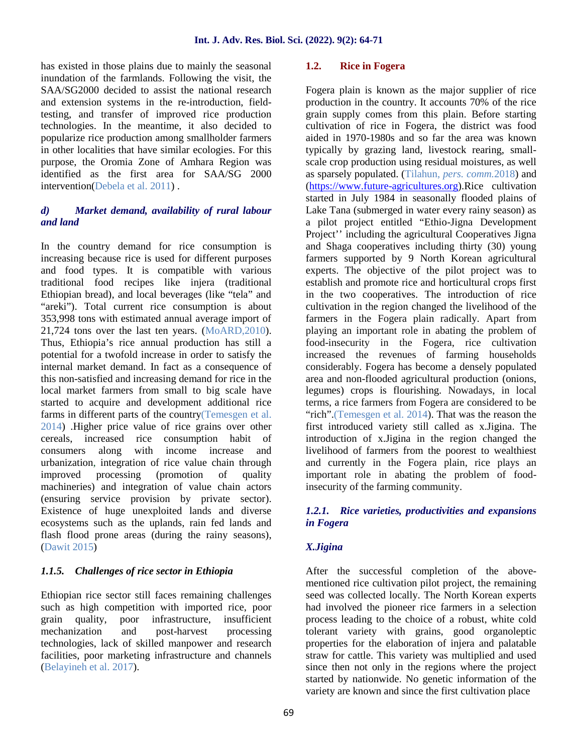has existed in those plains due to mainly the seasonal inundation of the farmlands. Following the visit, the SAA/SG2000 decided to assist the national research and extension systems in the re-introduction, fieldtesting, and transfer of improved rice production technologies. In the meantime, it also decided to popularize rice production among smallholder farmers in other localities that have similar ecologies. For this purpose, the Oromia Zone of Amhara Region was identified as the first area for SAA/SG 2000 intervention(Debela et al. 2011) .

## *d) Market demand, availability of rural labour and land*

In the country demand for rice consumption is increasing because rice is used for different purposes and food types. It is compatible with various traditional food recipes like injera (traditional Ethiopian bread), and local beverages (like "tela" and "areki"). Total current rice consumption is about 353,998 tons with estimated annual average import of 21,724 tons over the last ten years. (MoARD,2010). Thus, Ethiopia's rice annual production has still a potential for a twofold increase in order to satisfy the internal market demand. In fact as a consequence of this non-satisfied and increasing demand for rice in the local market farmers from small to big scale have started to acquire and development additional rice farms in different parts of the country(Temesgen et al. 2014) .Higher price value of rice grains over other cereals, increased rice consumption habit of consumers along with income increase and with income increase and urbanization, integration of rice value chain through improved processing (promotion of quality machineries) and integration of value chain actors (ensuring service provision by private sector). Existence of huge unexploited lands and diverse ecosystems such as the uplands, rain fed lands and flash flood prone areas (during the rainy seasons), (Dawit 2015)

## *1.1.5. Challenges of rice sector in Ethiopia*

Ethiopian rice sector still faces remaining challenges such as high competition with imported rice, poor grain quality, poor infrastructure, insufficient mechanization and post-harvest processing technologies, lack of skilled manpower and research facilities, poor marketing infrastructure and channels (Belayineh et al. 2017).

#### **1.2. Rice in Fogera**

Fogera plain is known as the major supplier of rice production in the country. It accounts 70% of the rice grain supply comes from this plain. Before starting cultivation of rice in Fogera, the district was food aided in 1970-1980s and so far the area was known typically by grazing land, livestock rearing, small scale crop production using residual moistures, as well as sparsely populated. (Tilahun, *pers. comm.*2018) and (https://www.future-agricultures.org).Rice cultivation started in July 1984 in seasonally flooded plains of Lake Tana (submerged in water every rainy season) as a pilot project entitled "Ethio-Jigna Development Project'' including the agricultural Cooperatives Jigna and Shaga cooperatives including thirty (30) young farmers supported by 9 North Korean agricultural experts. The objective of the pilot project was to establish and promote rice and horticultural crops first in the two cooperatives. The introduction of rice cultivation in the region changed the livelihood of the farmers in the Fogera plain radically. Apart from playing an important role in abating the problem of food-insecurity in the Fogera, rice cultivation increased the revenues of farming households considerably. Fogera has become a densely populated area and non-flooded agricultural production (onions, legumes) crops is flourishing. Nowadays, in local terms, a rice farmers from Fogera are considered to be "rich".(Temesgen et al. 2014). That was the reason the first introduced variety still called as x.Jigina. The introduction of x.Jigina in the region changed the livelihood of farmers from the poorest to wealthiest and currently in the Fogera plain, rice plays an important role in abating the problem of foodinsecurity of the farming community.

## *1.2.1. Rice varieties, productivities and expansions in Fogera*

## *X.Jigina*

After the successful completion of the above mentioned rice cultivation pilot project, the remaining seed was collected locally. The North Korean experts had involved the pioneer rice farmers in a selection process leading to the choice of a robust, white cold tolerant variety with grains, good organoleptic properties for the elaboration of injera and palatable straw for cattle. This variety was multiplied and used since then not only in the regions where the project started by nationwide. No genetic information of the variety are known and since the first cultivation place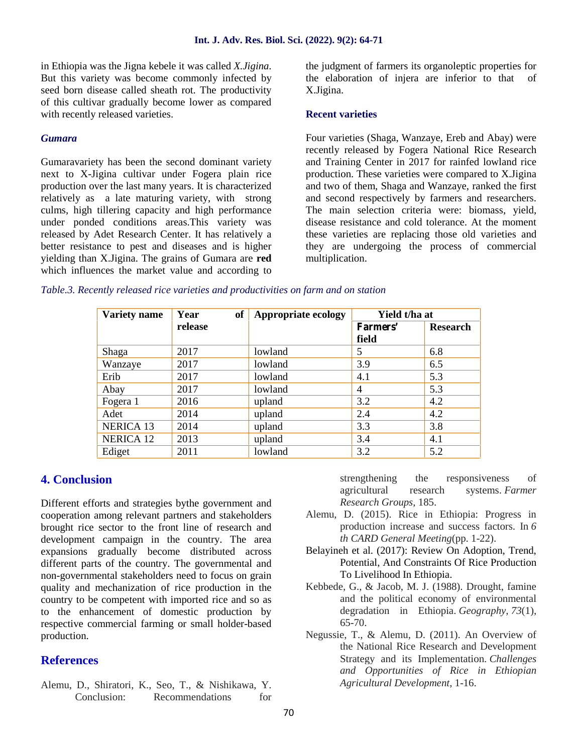in Ethiopia was the Jigna kebele it was called *X.Jigina*. But this variety was become commonly infected by seed born disease called sheath rot. The productivity of this cultivar gradually become lower as compared with recently released varieties.

#### *Gumara*

Gumaravariety has been the second dominant variety next to X-Jigina cultivar under Fogera plain rice production over the last many years. It is characterized relatively as a late maturing variety, with strong culms, high tillering capacity and high performance under ponded conditions areas.This variety was released by Adet Research Center. It has relatively a better resistance to pest and diseases and is higher yielding than X.Jigina. The grains of Gumara are **red** which influences the market value and according to the judgment of farmers its organoleptic properties for the elaboration of injera are inferior to that of X.Jigina.

#### **Recent varieties**

Four varieties (Shaga, Wanzaye, Ereb and Abay) were recently released by Fogera National Rice Research and Training Center in 2017 for rainfed lowland rice production. These varieties were compared to X.Jigina and two of them, Shaga and Wanzaye, ranked the first and second respectively by farmers and researchers. The main selection criteria were: biomass, yield, disease resistance and cold tolerance. At the moment these varieties are replacing those old varieties and they are undergoing the process of commercial multiplication.

#### *Table.3. Recently released rice varieties and productivities on farm and on station*

| <b>Variety name</b> | of<br>Year | <b>Appropriate ecology</b> | Yield t/ha at     |                 |  |
|---------------------|------------|----------------------------|-------------------|-----------------|--|
|                     | release    |                            | Farmers'<br>field | <b>Research</b> |  |
| Shaga               | 2017       | lowland                    | 5                 | 6.8             |  |
| Wanzaye             | 2017       | lowland                    | 3.9               | 6.5             |  |
| Erib                | 2017       | lowland                    | 4.1               | 5.3             |  |
| Abay                | 2017       | lowland                    | $\overline{4}$    | 5.3             |  |
| Fogera 1            | 2016       | upland                     | 3.2               | 4.2             |  |
| Adet                | 2014       | upland                     | 2.4               | 4.2             |  |
| <b>NERICA 13</b>    | 2014       | upland                     | 3.3               | 3.8             |  |
| <b>NERICA 12</b>    | 2013       | upland                     | 3.4               | 4.1             |  |
| Ediget              | 2011       | lowland                    | 3.2               | 5.2             |  |

## **4. Conclusion**

Different efforts and strategies bythe government and cooperation among relevant partners and stakeholders brought rice sector to the front line of research and development campaign in the country. The area expansions gradually become distributed across different parts of the country. The governmental and non-governmental stakeholders need to focus on grain quality and mechanization of rice production in the country to be competent with imported rice and so as to the enhancement of domestic production by respective commercial farming or small holder-based production.

## **References**

Alemu, D., Shiratori, K., Seo, T., & Nishikawa, Y. Conclusion: Recommendations for strengthening the responsiveness of agricultural research systems. *Farmer Research Groups*, 185.

- Alemu, D. (2015). Rice in Ethiopia: Progress in production increase and success factors. In *6 th CARD General Meeting*(pp. 1-22).
- Belayineh et al. (2017): Review On Adoption, Trend, Potential, And Constraints Of Rice Production To Livelihood In Ethiopia.
- Kebbede, G., & Jacob, M. J. (1988). Drought, famine and the political economy of environmental degradation in Ethiopia. *Geography*, *73*(1), 65-70.
- Negussie, T., & Alemu, D. (2011). An Overview of the National Rice Research and Development Strategy and its Implementation. *Challenges and Opportunities of Rice in Ethiopian Agricultural Development*, 1-16.